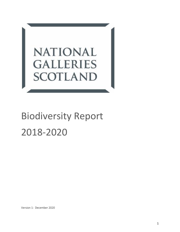

# Biodiversity Report 2018-2020

Version 1: December 2020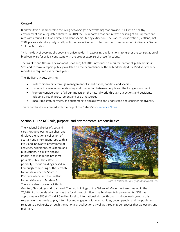# **Context**

Biodiversity is fundamental to the living networks (the ecosystems) that provide us all with a healthy environment and a regulated climate. In 2019 the UN reported that nature was declining at an unprecedent rate with around 1 million animal and plant species facing extinction. The Nature Conservation (Scotland) Act 2004 places a statutory duty on all public bodies in Scotland to further the conservation of biodiversity. Section 1 of the Act states:

"It is the duty of every public body and office holder, in exercising any functions, to further the conservation of biodiversity so far as it is consistent with the proper exercise of those functions."

The Wildlife and Natural Environment (Scotland) Act 2011 introduced a requirement for all public bodies in Scotland to make a report publicly available on their compliance with the biodiversity duty. Biodiversity duty reports are required every three years.

The Biodiversity duty aims to:

- Protect biodiversity through management of specific sites, habitats, and species
- Increase the level of understanding and connection between people and the living environment
- Promote consideration of all our impacts on the natural world through our actions and decisions, including through procurement and use of resources
- Encourage staff, partners, and customers to engage with and understand and consider biodiversity

This report has been created with the help of the NatureScot [Guidance Notes.](https://www.nature.scot/sites/default/files/2020-09/Guidance%20Note%20-%20Biodiversity%20Duty%20Explained%20final.pdf)

# Section 1 - The NGS role, purpose, and environmental responsibilities

The National Galleries of Scotland cares for, develops, researches, and displays the national collection of Scottish and international art. With a lively and innovative programme of activities, exhibitions, education, and publications, it aims to engage, inform, and inspire the broadest possible public. The estate is primarily historic buildings based in Edinburgh comprising of the Scottish National Gallery, the Scottish Portrait Gallery, and the Scottish National Gallery of Modern Art. There are also storage facilities in



*Scottish National Gallery of Modern Art One*

Granton, Newbridge and Loanhead. The two buildings of the Gallery of Modern Art are situated in the 75,690m<sup>2</sup> of grounds which acts as the focal point of influencing biodiversity improvements. NGS has approximately 386 staff and 2.5 million local to international visitors through its doors each year. In this respect we have a role to play informing and engaging with communities, young people, and the public in relation to biodiversity through the national art collection as well as through green spaces that we occupy and maintain.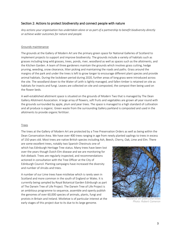# Section 2: Actions to protect biodiversity and connect people with nature

*Any actions your organisation has undertaken alone or as part of a partnership to benefit biodiversity directly or achieve wider outcomes for nature and people.*

## Grounds maintenance

The grounds at the Gallery of Modern Art are the primary green space for National Galleries of Scotland to implement projects to support and improve biodiversity. The grounds include a variety of habitats such as grasses including long wild grasses, trees, ponds, river, woodland as well as spaces such as the allotments, and the Kitchen Garden. A team of three gardeners maintain the grounds which involves grass cutting, hedge pruning, weeding, snow clearance, litter picking and maintaining the roads and paths. Grass around the margins of the park and under the trees is left to grow longer to encourage different plant species and provide animal habitats. During the lockdown period during 2020, further areas of long grass were introduced across the site. The woodland down to the Water of Leith is lightly managed, and fallen timber is retained on site as habitats for insects and fungi. Leaves are collected on site and composted, the compost then being used on the flower beds.

A well-established allotment space is situated on the grounds of Modern Two that is managed by The Dean Gallery Allotment Association. A large array of flowers, soft fruits and vegetables are grown all year round with the grounds surrounded by apple, plum and pear trees. The space is managed to a high standard of cultivation and all produce is organic. Green waste from the surrounding Gallery parkland is composted and used in the allotments to provide organic fertilizer.

## Trees

The trees at the Gallery of Modern Art are protected by a Tree Preservation Orders as well as being within the Dean Conservation Area. We have over 400 trees ranging in age from newly planted saplings to trees in excess of 150 years old. Most trees are native British species including Ash, Beech, Cherry, Oak, Lime and Elm. There

are some excellent trees, notably two Spanish Chestnuts one of which has Edinburgh Heritage Tree status. Many trees have been lost over the years though Dutch Elm disease and we are monitoring for Ash dieback. Trees are regularly inspected, and recommendations actioned in consultation with the Tree Officer at the City of Edinburgh Council. Planting campaigns have increased the diversity and number of shrubs and trees.

A number of our Lime trees have mistletoe which is rarely seen in Scotland and more common in the south of England or Wales. It is currently being sampled by Royal Botanical Garden Edinburgh as part of The Darwin Tree of Life Project. The Darwin Tree of Life Project is an ambitious programme to sequence, assemble and openly publish the genomes of over 60,000 species of animals, plants, fungi and protists in Britain and Ireland. Mistletoe is of particular interest at the early stages of this project due to its due to its large genome.



*Mistletoe on GMA Lime trees Photo: Robert Cameron*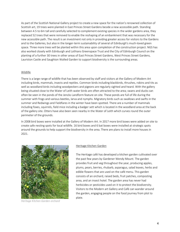As part of the Scottish National Gallery project to create a new space for the nation's renowned collection of Scottish art, 19 trees were planted in East Princes Street Gardens beside a new accessible path. Standing between 4.5 to 6m tall and carefully selected to complement existing species in the wider gardens area, they replaced 52 trees that were removed to enable the reshaping of an embankment that was necessary for the new accessible path. The result is an investment not only in providing greater access for visitors to the Gardens and to the Galleries, but also in the longer-term sustainability of several of Edinburgh's much-loved green space. Three more trees will be planted within this area upon completion of the construction project. NGS has also worked closely with Edinburgh and Lothians Greenspace Trust and the City of Edinburgh Council on the planting of a further 30 trees in other areas of East Princes Street Gardens, West Princes Street Gardens, Lauriston Castle and Saughton Walled Garden to support biodiversity is the surrounding areas.

## Wildlife

There is a large range of wildlife that has been observed by staff and visitors at the Gallery of Modern Art including birds, mammals, insects and reptiles. Common birds including blackbirds, thrushes, robins and tits as well as woodland birds including woodpeckers and pigeons are regularly sighted and heard. With the gallery being situated close to the Water of Leith water birds are often attracted to the area; swans and ducks can often be seen in the ponds of the Jencks Landform feature on site. These ponds are full of life during the summer with frogs and various beetles, larva and nymphs. Migratory birds such as swallows and swifts in the summer and Redwings and Fieldfares in the winter have been spotted. There are a number of mammals including foxes, squirrels, field mice including a badger sett which is located in the woodland area at the back of the gallery site. Otters have also been seen nearby in the Water of Leith which curves round the outer perimeter of the grounds.

In 2008 bird boxes were installed at the Gallery of Modern Art. In 2017 more bird boxes were added on site to create safe nesting spots for local wildlife. 16 bird boxes and 6 bat boxes were installed at strategic spots around the grounds to help support the biodiversity in the area. There are plans to install more houses in 2021.



*Heritage Kitchen Garden orchard*

#### Heritage Kitchen Garden

The Heritage café has developed a kitchen garden cultivated over the past few years by Gardener Wendy Mount. The garden provides fruit and veg throughout the year, producing apples, plums, pears, berries, rhubarb, asparagus, salad leaves, herbs and edible flowers that are used on the café menu. This garden consists of an orchard, raised beds, fruit patches, composting area, and an insect hotel. The garden area has never had herbicides or pesticides used on it to protect the biodiversity. Visitors to the Modern art Gallery and Café can wander around the garden, engaging people on the food journey from plot to plate.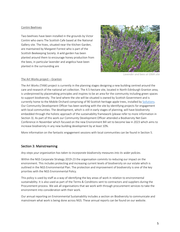## Contini Beehives

Two beehives have been installed in the grounds by Victor Contini who owns The Scottish Cafe based at the National Gallery site. The hives, situated near the Kitchen Garden, are maintained by Margaret Forrest who is part of the Scottish Beekeeping Society. A wild garden has been planted around them to encourage honey production from the bees, in particular lavender and angelica have been planted in the surrounding are



*Lavender and bees at GMA site*

#### The Art Works project – Granton

The Art Works (TAW) project is currently in the planning stages designing a new building centred around the care and research of the national art collection. The 4.5-hectare site, located in North Edinburgh Granton area, is underpinned by placemaking principles and inspires to be an area for the community including green spaces to support biodiversity. The land where the site will be situated is owned by Scottish Government and is currently home to the Mobile Orchard comprising of 90 Scottish heritage apple trees, installed b[y Soilutions.](https://www.soilutions.co.uk/) Our Community Development Officer has been working with the site by identifying projects for engagement with local communities. The development, which is still in early stages of planning, will have biodiversity embedded through the holistic approach of the sustainability framework (please refer to more information in Section 3). As part of this work our Community Development Officer attended a Biodiversity Net Gain Conference in November which focused on the new Environment Bill set to become law in 2023 which aims to increase biodiversity in any new building development by at least 10%.

More information on the fantastic engagement sessions with local communities can be found in Section 5.

# Section 3: Mainstreaming

#### *Any steps your organisation has taken to incorporate biodiversity measures into its wider policies.*

Within the NGS Corporate Strategy 2019-23 the organisation commits to reducing our impact on the environment. This includes protecting and increasing current levels of biodiversity on our estate which is outlined in the NGS Environmental Plan. The protection and improvement of biodiversity is one of the key priorities with the NGS Environmental Policy.

This policy is used by staff as a way of identifying the key areas of work in relation to environmental sustainability. It is also used as part of the Terms & Conditions sent to contractors and suppliers during the Procurement process. We ask all organisations that we work with through procurement services to take the environment into consideration with their work.

Our annual reporting on Environmental Sustainability includes a section on Biodiversity to communicate and mainstream what work is being done across NGS. These annual reports can be found on our website.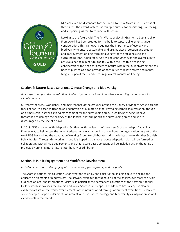

NGS achieved Gold standard for the Green Tourism Award in 2018 across all three sites. The award system has multiple criteria for monitoring, improving, and supporting visitors to connect with nature.

Looking to the future with The Art Works project in Granton, a Sustainability Framework has been created for the build to capture all elements under consideration. This framework outlines the importance of ecology and biodiversity to ensure sustainable land use, habitat protection and creation and improvement of long-term biodiversity for the buildings site and surrounding land. A habitat survey will be conducted with the overall aim to achieve a net-gain in natural capital. Within the Health & Wellbeing considerations the need for access to nature within the built environment has been stipulated as it can provide opportunities to relieve stress and mental fatigue, support focus and encourage overall mental well-being.

# Section 4: Nature-Based Solutions, Climate Change and Biodiversity

*Any steps to support the contribution biodiversity can make to build resilience and mitigate and adapt to climate change.*

Currently the trees, woodlands, and maintenance of the grounds around the Gallery of Modern Art site are the focus of nature-based mitigation and adaptation of Climate Change. Providing carbon sequestration, though on a small scale, as well as flood management for the surrounding area. Large flocks of seagulls have threatened to damage the ecology of the Jencks Landform ponds and surrounding areas and so are discouraged by the use of a hawk.

In 2019, NGS engaged with Adaptation Scotland with the launch of their new Scotland Adapts Capability Framework; to help scope the current adaptation work happening throughout the organisation. As part of this work NSG have joined the Adaptation Working Group to collaborate and knowledge share with other Scottish Public Bodies. Through this working group it is hoped that a more robust adaptation plan will be formed by collaborating with all NGS departments and that nature-based solutions will be included within the range of projects by bringing more nature into the City of Edinburgh.

# Section 5: Public Engagement and Workforce Development

# *Including education and engaging with communities, young people, and the public.*

The Scottish national art collection is for everyone to enjoy and a useful tool in being able to engage and educate on elements of biodiversity. The artwork exhibited throughout all of the gallery sites reaches a wide audience of local and international visitors, in particular the permanent collections at the Scottish National Gallery which showcases the diverse and iconic Scottish landscapes. The Modern Art Gallery has also had exhibited artists whose work cover elements of the natural world through a variety of exhibitions. Below are some examples of particular artists of interest who use nature, ecology and biodiversity as inspiration as well as materials in their work.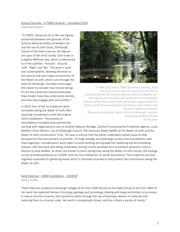## Antony Gormley – 6 TIMES artwork – reinstalled 2019 [Featured Artwork](https://www.nationalgalleries.org/art-and-artists/features/visiting-antony-gormley%E2%80%99s-6-times)

"'6 TIMES' comprises of six life-size figures, positioned between the grounds of the Scottish National Gallery of Modern Art and the sea at Leith Docks, Edinburgh. Typical of Gormley's oeuvre, the figures are casts of the artist's body. Each looks in a slightly different way, which is referenced to in the subtitles: 'Horizon', 'Ground', 'Left', 'Right' and 'Sky'. The work is quiet and contemplative, drawing attention to the natural and man-made environment of the Water of Leith, which runs through the heart of Edinburgh. Gormley encourages the viewer to consider how human beings fit into the social and natural landscapes they inhabit, how they understand identity and how they engage with one another."

In 2019, four of the six sculptures were reinstalled along the Water of Leith after resolving complications with the original 2010 installations. The process of reinstallation included close partnership



*6 TIMES Sky from 6 TIMES by Antony Gormley, 2010 One of six cast iron figures, each 191 x 50 x 36 cm Commissioned by the Scottish National Gallery of Modern Art, with support from the Art Fund, funds from the Gulbenkian Museum of the Year award 2004, and further support from The Patrons of the National Galleries of Scotland, Claire Enders and The Henry Moore Foundation Permanent installation, Water of Leith, Edinburgh, Scotland Photograph by Keith Hunter © The artist*

working with organisations such as Scottish Natural Heritage, Scottish Environmental Protection Agency, Local Wildlife Crime Officers, City of Edinburgh Council, The Honorary Water Bailiffs of the Water of Leith and the Water of Leith Conservation Trust. This was to ensure that the works undertaken would cause as little disruption to the environment as possible. Through ecology and hydrology surveys and consultations with these agencies, considerations were taken to avoid working during peak fish spawning and bird breeding seasons, with the work also being undertaken during normal working hours to prevent excessive noise or distress to local wildlife. As otters are known to have resting sites along the Water of Leith course, the ecology survey provided guidance on a buffer zone for the installations to avoid disturbance. The sculptures are now regularly inspected for gathering waste which is removed routinely to help protect the environment along the Water of Leith.

## Katie Paterson – NOW 6 exhibition – 2019/20 [Artists Profile](https://www.nationalgalleries.org/art-and-artists/artists/katie-paterson)

"Katie Paterson studied at Edinburgh College of Art from 2000-04 and at the Slade School of Art from 2005-07. Her work has explored themes of ecology, geology and cosmology, dealing with large and distant occurrences in nature and the universe. She transforms them through the use of everyday objects or materials and reducing them to a human scale. Her work is conceptually driven, and she utilises a variety of media."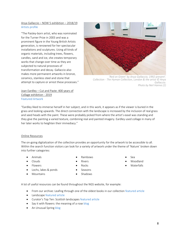"The Paisley-born artist, who was nominated for the Turner Prize in 2003 and was a prominent figure in the Young British Artists generation, is renowned for her spectacular installations and sculptures. Using all kinds of organic materials, including trees, flowers, candles, sand and ice, she creates temporary works that change over time as they are subjected to natural processes of transformation and decay. Gallaccio also makes more permanent artworks in bronze, ceramics, stainless steel and stone that attempt to capture or arrest these processes."



*'Red on Green' by Anya Gallaccio, 1992-present'. Collection - The Hyman Collection, London & the artist © Anya Gallaccio. Photo by Neil Hanna (2)*

Joan Eardley – Cut and Paste: 400 years of Collage exhibition - 2019 [Featured Artwork](https://www.nationalgalleries.org/art-and-artists/489/seeded-grasses-and-daisies-september?subjects%5B30467%5D=30467&search_set_offset=0)

"Eardley liked to immerse herself in her subject, and in this work, it appears as if the viewer is buried in the grass and looking upwards. The direct connection with the landscape is increased by the inclusion of real grass and seed heads with the paint. These were probably picked from where the artist's easel was standing and they give the painting a varied texture, combining real and painted imagery. Eardley used collage in many of her later works to heighten their immediacy."

## Online Resources

The on-going digitalization of the collection provides an opportunity for the artwork to be accessible to all. Within the search function visitors can look for a variety of artwork under the theme of 'Nature' broken down into further categories:

- Animals
- Clouds
- Flowers
- Lochs, lakes & ponds
- Mountains
- Rainbows
- Rivers
- Rocks
- Seasons
- Shadows
- Sea
- Woodland
- Waterfalls

A lot of useful resources can be found throughout the NGS website, for example:

- From our archive: Leafing through one of the oldest books in our collection [featured article](https://www.nationalgalleries.org/art-and-artists/features/our-archive-leafing-through-one-oldest-books-our-collection)
- Landscap[e featured article](https://www.nationalgalleries.org/art-and-artists/features/landscape)
- Curator's Top Ten: Scottish landscapes [featured article](mailto:https://www.nationalgalleries.org/art-and-artists/features/curator%E2%80%99s-top-ten-scottish-landscapes)
- Say it with flowers: the meaning of a ros[e blog](https://www.nationalgalleries.org/art-and-artists/features/say-it-flowers-meaning-rose)
- An Unusual Sprin[g blog](https://www.nationalgalleries.org/art-and-artists/features/unusual-spring)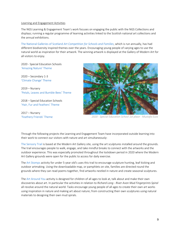#### Learning and Engagement Activities

The NGS Learning & Engagement Team's work focuses on engaging the public with the NGS Collections and displays; running a regular programme of learning activities linked to the Scottish national art collections and the annual exhibitions.

[The National Galleries of Scotland](https://www.nationalgalleries.org/art-and-artists/features/national-galleries-scotland-art-competition-schools/group-entry-2020) *Art Competition for Schools and Families*, which is run annually, has had different biodiversity inspired themes over the years. Encouraging young people of varying ages to use the natural world as inspiration for their artwork. The winning artwork is displayed at the Gallery of Modern Art for all visitors to enjoy.

2020 - Special Education Schools ['Amazing Nature' Theme](https://www.nationalgalleries.org/art-and-artists/features/national-galleries-scotland-art-competition-schools/special-education-schools-2020)

2020 – Secondary 1-3 '[Climate Change](https://www.nationalgalleries.org/art-and-artists/features/national-galleries-scotland-art-competition-schools-and-families)' Theme

2019 – Nursery ['Petals, Leaves and Bumble Bees' Theme](https://www.nationalgalleries.org/art-and-artists/features/national-galleries-scotland-art-competition-schools-and-families/winners-2019)

2018 – Special Education Schools ['Hair, Fur and Feathers' Theme](https://www.nationalgalleries.org/art-and-artists/features/national-galleries-scotland-art-competition-schools-and-families/winners-2018) 

2017 – Nursery ['Feathery Friends' Theme](https://www.nationalgalleries.org/art-and-artists/features/national-galleries-scotland-art-competition-schools-and-families/winners-2017)



*2020 - Special Education School 1st place - Mustafa Ezzo*

Through the following projects the Learning and Engagement Team have incorporated outside learning into their work to connect our visitors with nature and art simultaneously:

[The Sensory Trail](https://www.nationalgalleries.org/art-and-artists/features/sensory-trail) is based at the Modern Art Gallery site, using the art sculptures installed around the grounds. The trail encourages people to walk, engage, and take mindful breaks to connect with the artworks and the outdoor experience. This was especially promoted throughout the lockdown period in 2020 where the Modern Art Gallery grounds were open for the public to access for daily exercise.

The [Art Stomps](https://www.nationalgalleries.org/sites/default/files/features/pdfs/Art_Stomps.pdf) activity for under 5-year old's uses this trail to encourage sculpture hunting, leaf-kicking and outdoor artmaking. Using the downloadable map, or pamphlets on site, families are directed round the grounds where they can read poems together, find artworks nestled in nature and create seasonal sculptures.

The [Art Around You](https://www.nationalgalleries.org/art-and-artists/features/art-around-you/richard-long) activity is designed for children of all ages to look at, talk about and make their own discoveries about art. In particular the activities in relation to *Richard Long - River Avon Mud Fingerprints Spiral*  all revolve around the natural world. Tasks encourage young people of all ages to create their own art works using inspiration in nature and making art about nature; from constructing their own sculptures using natural materials to designing their own mud spirals.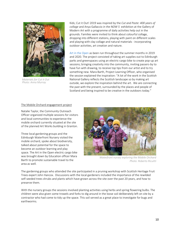

*Materials for Cut it Out Photo: Anna Murray*

Kids; Cut it Out! 2019 was inspired by the *Cut and Paste: 400 years of collage* and Anya Gallaccio *in the NOW 5* exhibition at the Gallery of Modern Art with a programme of daily activities help out in the grounds. Families were invited to think about colourful collage, dropping into different stations, playing with paint on different scales and playing with clay collage and natural materials - incorporating outdoor activities, art creation and nature.

[Art in the](https://www.nationalgalleries.org/art-and-artists/features/art-open-pop-creative-workshops-edinburgh) Open as been run throughout the summer months in 2019 and 2020. The project consisted of taking art supplies out to Edinburgh parks and greenspaces using an electric-cargo bike to create pop-up art sessions; bringing creativity into the community, inviting passers-by to have fun with drawing, to receive top tips from our artist and to try something new. Mara Barth, Project Learning Officer, who organised the session explained the inspiration: "A lot of the work in the Scottish National Gallery reflects the Scottish landscape so by making art outside, we explore the inspiration behind the art. We are connecting the past with the present, surrounded by the places and people of Scotland and being inspired to be creative in the outdoors today."

#### The Mobile Orchard engagement project

Natalie Taylor, the Community Outreach Officer organized multiple sessions for visitors and local communities to experience the mobile orchard currently situated at the site of the planned Art Works building in Granton.

Three local gardening groups and the Edinburgh Waterfront Nursery visited the mobile orchard, spoke about biodiversity, talked about potential for the space to become an outdoor learning and play space. The Art in the Open electric cargo bike was brought down by Education officer Mara Barth to promote sustainable travel to the area as well.



*Waterfront nursey exploring the Mobile Orchard Photo: Roberto Ricuitti*

The gardening groups who attended the site participated in a pruning workshop with Scottish Heritage Fruit Trees expert John Hancox. Discussions with the local gardeners included the importance of the rewilded self-seeded trees shrubs and plants which have grown across the site over the past 20 years, and how to preserve them.

With the nursery groups the sessions involved planting activities using herbs and spring flowering bulbs. The children were also given some trowels and forks to dig around in the loose soil deliberately left on site by a contractor who had come to tidy up the space. This soil served as a great place to investigate for bugs and earthworms.